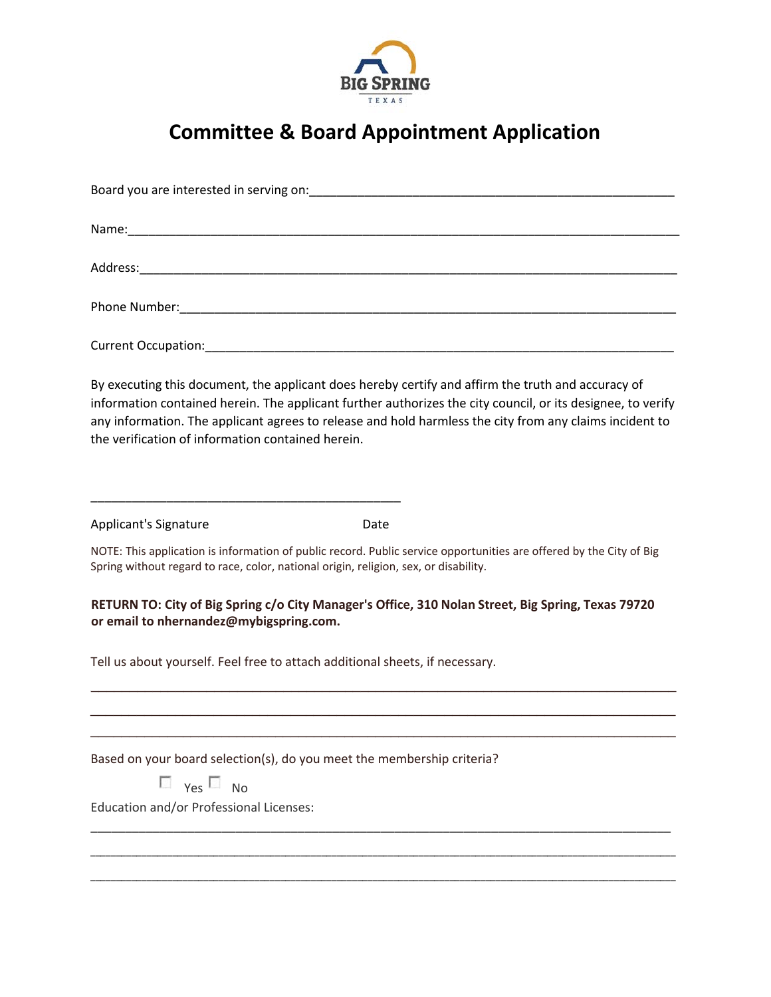

## **Committee & Board Appointment Application**

| By executing this document, the applicant does hereby certify and affirm the truth and accuracy of<br>information contained herein. The applicant further authorizes the city council, or its designee, to verify<br>any information. The applicant agrees to release and hold harmless the city from any claims incident to<br>the verification of information contained herein. |
|-----------------------------------------------------------------------------------------------------------------------------------------------------------------------------------------------------------------------------------------------------------------------------------------------------------------------------------------------------------------------------------|
| Applicant's Signature<br>Date                                                                                                                                                                                                                                                                                                                                                     |
| NOTE: This application is information of public record. Public service opportunities are offered by the City of Big<br>Spring without regard to race, color, national origin, religion, sex, or disability.                                                                                                                                                                       |
| RETURN TO: City of Big Spring c/o City Manager's Office, 310 Nolan Street, Big Spring, Texas 79720<br>or email to nhernandez@mybigspring.com.                                                                                                                                                                                                                                     |
| Tell us about yourself. Feel free to attach additional sheets, if necessary.                                                                                                                                                                                                                                                                                                      |
|                                                                                                                                                                                                                                                                                                                                                                                   |
| Based on your board selection(s), do you meet the membership criteria?<br>$\Box$ Yes $\Box$ No                                                                                                                                                                                                                                                                                    |
| Education and/or Professional Licenses:                                                                                                                                                                                                                                                                                                                                           |

\_\_\_\_\_\_\_\_\_\_\_\_\_\_\_\_\_\_\_\_\_\_\_\_\_\_\_\_\_\_\_\_\_\_\_\_\_\_\_\_\_\_\_\_\_\_\_\_\_\_\_\_\_\_\_\_\_\_\_\_\_\_\_\_\_\_\_\_\_\_\_\_\_\_\_\_\_\_\_\_\_\_\_\_\_\_\_\_\_\_\_\_\_\_\_\_\_\_\_\_\_\_\_\_\_\_\_\_\_\_\_\_\_\_